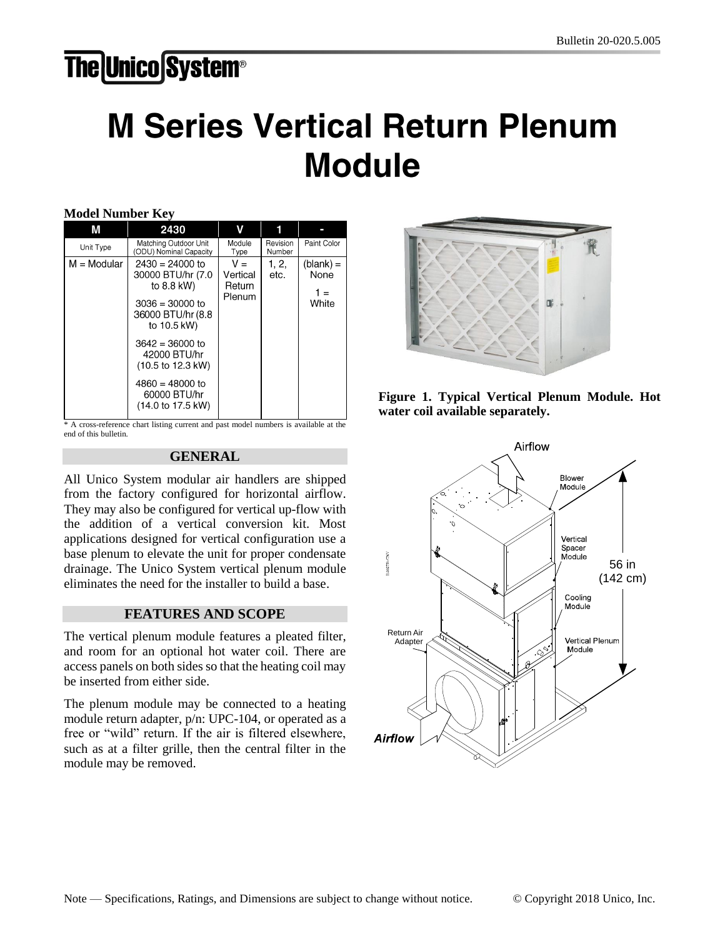# **The Unico System®**

# **M Series Vertical Return Plenum Module**

|  |  | Model Number Key |  |
|--|--|------------------|--|
|--|--|------------------|--|

| M             | 2430                                                                                                                                                                                                                              | ۷                                     |                    |                                     |
|---------------|-----------------------------------------------------------------------------------------------------------------------------------------------------------------------------------------------------------------------------------|---------------------------------------|--------------------|-------------------------------------|
| Unit Type     | Matching Outdoor Unit<br>(ODU) Nominal Capacity                                                                                                                                                                                   | Module<br>Type                        | Revision<br>Number | Paint Color                         |
| $M = Modular$ | $2430 = 24000$ to<br>30000 BTU/hr (7.0<br>to 8.8 kW)<br>$3036 = 30000$ to<br>36000 BTU/hr (8.8<br>to 10.5 kW)<br>$3642 = 36000$ to<br>42000 BTU/hr<br>(10.5 to 12.3 kW)<br>$4860 = 48000$ to<br>60000 BTU/hr<br>(14.0 to 17.5 kW) | $V =$<br>Vertical<br>Return<br>Plenum | 1, 2,<br>etc.      | $(blank) =$<br>None<br>1 =<br>White |

\* A cross-reference chart listing current and past model numbers is available at the end of this bulletin.

#### **GENERAL**

All Unico System modular air handlers are shipped from the factory configured for horizontal airflow. They may also be configured for vertical up-flow with the addition of a vertical conversion kit. Most applications designed for vertical configuration use a base plenum to elevate the unit for proper condensate drainage. The Unico System vertical plenum module eliminates the need for the installer to build a base.

#### **FEATURES AND SCOPE**

The vertical plenum module features a pleated filter, and room for an optional hot water coil. There are access panels on both sides so that the heating coil may be inserted from either side.

The plenum module may be connected to a heating module return adapter, p/n: UPC-104, or operated as a free or "wild" return. If the air is filtered elsewhere, such as at a filter grille, then the central filter in the module may be removed.





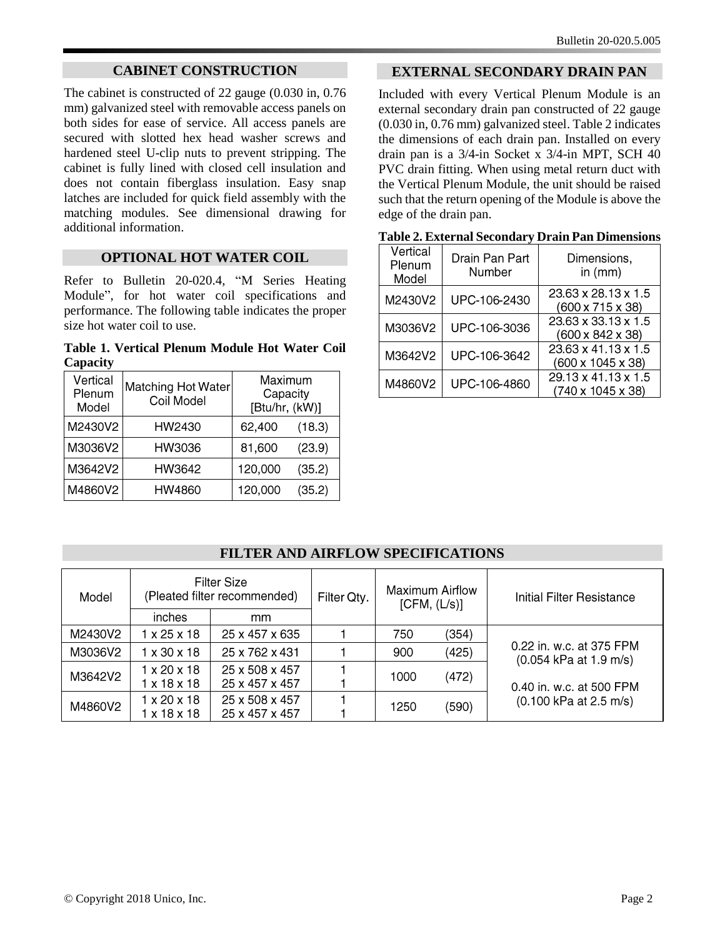## **CABINET CONSTRUCTION**

The cabinet is constructed of 22 gauge (0.030 in, 0.76 mm) galvanized steel with removable access panels on both sides for ease of service. All access panels are secured with slotted hex head washer screws and hardened steel U-clip nuts to prevent stripping. The cabinet is fully lined with closed cell insulation and does not contain fiberglass insulation. Easy snap latches are included for quick field assembly with the matching modules. See dimensional drawing for additional information.

#### **OPTIONAL HOT WATER COIL**

Refer to Bulletin 20-020.4, "M Series Heating Module", for hot water coil specifications and performance. The following table indicates the proper size hot water coil to use.

**Table 1. Vertical Plenum Module Hot Water Coil Capacity**

| Vertical<br>Plenum<br>Model | Matching Hot Water<br>Coil Model | Maximum<br>Capacity<br>[Btu/hr, (kW)] |        |
|-----------------------------|----------------------------------|---------------------------------------|--------|
| M2430V2                     | HW2430                           | 62,400                                | (18.3) |
| M3036V2                     | HW3036                           | 81,600                                | (23.9) |
| M3642V2                     | HW3642                           | 120,000                               | (35.2) |
| M4860V2                     | HW4860                           | 120,000                               | (35.2) |

## **EXTERNAL SECONDARY DRAIN PAN**

Included with every Vertical Plenum Module is an external secondary drain pan constructed of 22 gauge (0.030 in, 0.76 mm) galvanized steel. Table 2 indicates the dimensions of each drain pan. Installed on every drain pan is a 3/4-in Socket x 3/4-in MPT, SCH 40 PVC drain fitting. When using metal return duct with the Vertical Plenum Module, the unit should be raised such that the return opening of the Module is above the edge of the drain pan.

| Vertical<br>Plenum<br>Model | Drain Pan Part<br>Number | Dimensions,<br>in $(mm)$                 |
|-----------------------------|--------------------------|------------------------------------------|
| M2430V2                     | UPC-106-2430             | 23.63 x 28.13 x 1.5<br>(600 x 715 x 38)  |
| M3036V2                     | UPC-106-3036             | 23.63 x 33.13 x 1.5<br>(600 x 842 x 38)  |
| M3642V2                     | UPC-106-3642             | 23.63 x 41.13 x 1.5<br>(600 x 1045 x 38) |
| M4860V2                     | UPC-106-4860             | 29.13 x 41.13 x 1.5<br>(740 x 1045 x 38) |

| Table 2. External Secondary Drain Pan Dimensions |  |  |
|--------------------------------------------------|--|--|
|                                                  |  |  |

# **FILTER AND AIRFLOW SPECIFICATIONS**

| <b>Filter Size</b><br>(Pleated filter recommended)<br>Model |                         | Filter Qty.    | Maximum Airflow<br>[CFM, (L/s)] |               | Initial Filter Resistance |                                                                                |
|-------------------------------------------------------------|-------------------------|----------------|---------------------------------|---------------|---------------------------|--------------------------------------------------------------------------------|
|                                                             | inches                  | mm             |                                 |               |                           |                                                                                |
| M2430V2                                                     | $1 \times 25 \times 18$ | 25 x 457 x 635 |                                 | 750           | (354)                     |                                                                                |
| M3036V2                                                     | $1 \times 30 \times 18$ | 25 x 762 x 431 |                                 | 900           | (425)                     | 0.22 in. w.c. at 375 FPM<br>(0.054 kPa at 1.9 m/s)<br>0.40 in. w.c. at 500 FPM |
| M3642V2                                                     | $1 \times 20 \times 18$ | 25 x 508 x 457 |                                 | 1000          | (472)                     |                                                                                |
|                                                             | $1 \times 18 \times 18$ | 25 x 457 x 457 |                                 |               |                           |                                                                                |
| M4860V2                                                     | $1 \times 20 \times 18$ | 25 x 508 x 457 |                                 | (590)<br>1250 |                           | $(0.100 \text{ kPa at } 2.5 \text{ m/s})$                                      |
|                                                             | 1 x 18 x 18             | 25 x 457 x 457 |                                 |               |                           |                                                                                |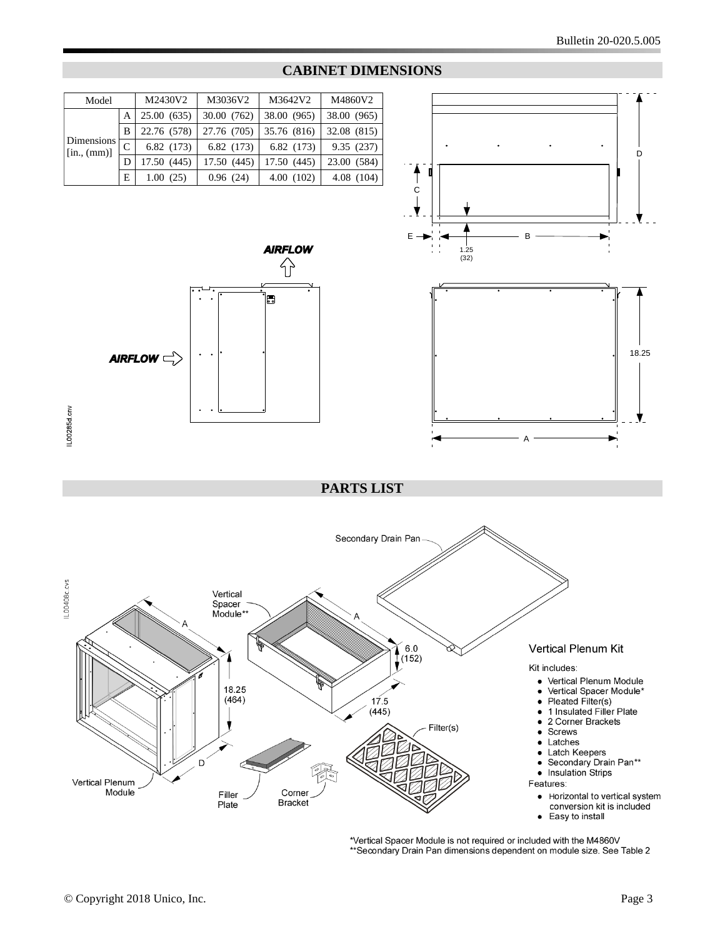

#### **CABINET DIMENSIONS**



A





**PARTS LIST**



\*Vertical Spacer Module is not required or included with the M4860V \*\* Secondary Drain Pan dimensions dependent on module size. See Table 2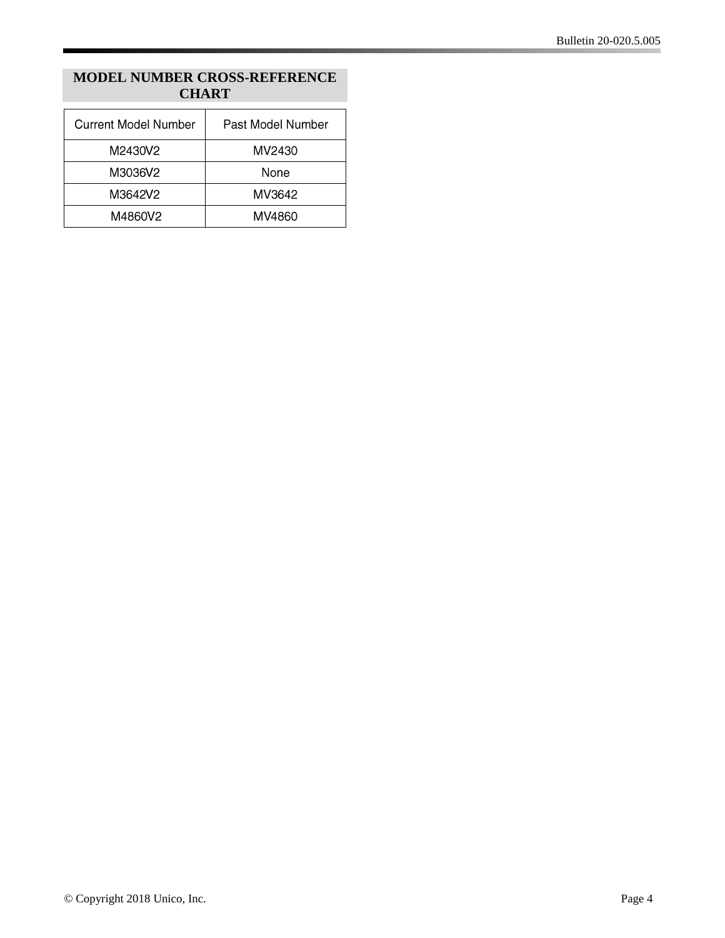# **MODEL NUMBER CROSS-REFERENCE CHART**

| Current Model Number | Past Model Number |
|----------------------|-------------------|
| M2430V2              | MV2430            |
| M3036V2              | None              |
| M3642V2              | MV3642            |
| M4860V2              | MV4860            |